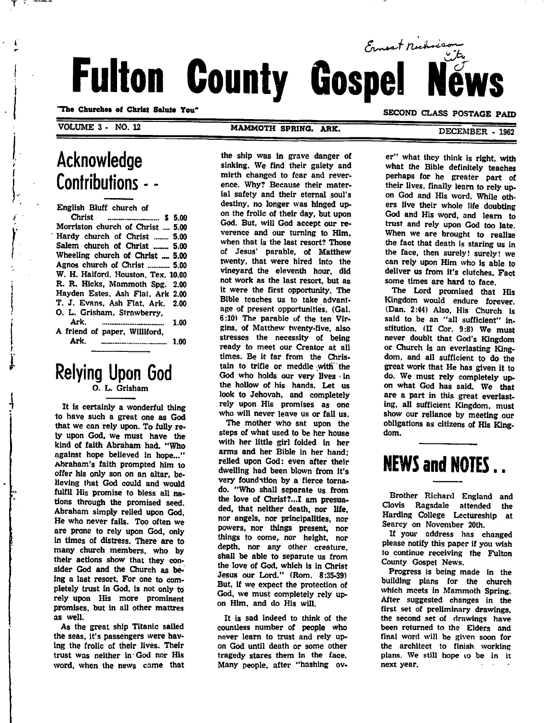# Ernest nichois Fulton County Gospel

"Tho Churches of Christ Salute You"

VOLUME 3 - NO. 12

Ŧ.

#### MAMMOTH SPRING, ARK.

#### SECOND CLASS POSTAGE PAID

DECEMBER - 1962

### Acknowledge Contributions - -

English Bluff church of

| Morriston church of Christ  5.00   |
|------------------------------------|
| Hardy church of Christ  5.00       |
| Salem church of Christ  5.00       |
| Wheeling church of Christ  5.00    |
| Agnos church of Christ  5.00       |
| W. H. Halford, Houston, Tex. 10.00 |
| R. R. Hicks, Mammoth Spg. 2.00     |
| Hayden Estes, Ash Flat, Ark 2.00   |
| T. J. Evans, Ash Flat, Ark. 2.00   |
| O. L. Grisham, Strawberry.         |
|                                    |
| A friend of paper, Williford.      |
| Ark.                               |

## Relying Upon God

It is certainly a wonderful thing to have such a great one as God that we can rely upon. To fully re ly upon God, we must have the kind of faith Abraham had. "Who against hope believed in hope..." Abraham's faith prompted him to offer his only son on an altar, be lieving that God could and would fulfil His promise to bless all na tions through the promised seed. Abraham simply relied upon God, He who never fails. Too often we are prone to rely upon God, only in times of distress. There are to many church members, who by their actions show that they con sider God and the Church as be ing a last resort. For one to com pletely trust in God, is not only to rely upon His more prominent promises, but in all other mattres as well.

As the great ship Titanic sailed the seas, it's passengers were hav ing the frolic of their lives. Their trust was neither in God nor His word, when the news came that

the ship was in grave danger of sinking. We find their gaiety and mirth changed to fear and rever ence. Why? Because their mater ial safety and their eternal soul's destiny, no longer was hinged up on the frolic of their day, but upon God. But, will God accept our re verence and our turning to Him, when that is the last resort? Those of Jesus" parable, of Matthew twenty, that were hired into the vineyard the eleventh hour, did not work as the last resort, but as it were the first opportunity. The Bible teaches us to take advant age of present opportunities. (Gal. 6:10) The parable of the ten Vir gins, of Matthew twenty-five, also stresses the necessity of being ready to meet our Creator at all times. Be it far from the Christain to trifle or meddle with' the God who holds our very lives in the hollow of his hands. Let us look to Jehovah, and completely rely upon His promises as one who will never leave us or fail us.

The mother who sat upon the steps of what used to be her house with her little girl folded in her arms and her Bible in her hand; relied upon God: even after their dwelling had been blown from it's very foundation by a fierce tornado. "Who shall separate us from the love of Christ?...I am presuaded, that neither death, nor life, nor angels, nor principalities, nor powers, nor things present, nor things to come, nor height, nor depth, nor any other creature, shall be able to separate us from the love of God, which is in Christ Jesus our Lord." (Rom. 8:35-39) But, if we expect the protection of God, we must completely rely up on Him, and do His will.

It is sad indeed to think of the countless number of people who never learn to trust and rely up on God until death or some other tragedy stares them in the face. Many people, after "hashing over" what they think is right, with what the Bible definitely teaches perhaps for he greater part of their lives, finally learn to rely up on God and His word. While oth ers live their whole life doubting God and His word, and learn to trust and rely upon God too late. When we are brought to realize the fact that death is staring us in the face, then surely! surely! we can rely upon Him who is able to deliver us from it's clutches. Fact some times are hard to face.

The Lord promised that His Kingdom would endure forever. (Dan. 2:44) Also, His Church is said to be an "all sufficient" institution. (II Cor. 9:8) We must never doublt that God's Kingdom or Church is an everlasting King dom, and all sufficient to do the great work that He has given it to do. We must rely completely up on what God has said. We that are a part in this great everlast ing, all sufficient Kingdom, must show our reliance by meeting our obligations as citizens of His King dom.

### NEWS and NOTES..

Brother Richard England and Clovis Ragsdale attended the Harding College Lectureship at Searcy on November 20th.

If your address has changed please notify this paper if you wish to continue receiving the Fulton County Gospel News.

Progress is being made in the building plans for the church which meets in Mammoth Spring. After suggested changes in the first set of preliminary drawings, the second set of drawings have been returned to the Elders and final word will be given soon for the architect to finish working plans. We still hope 10 be in it next year.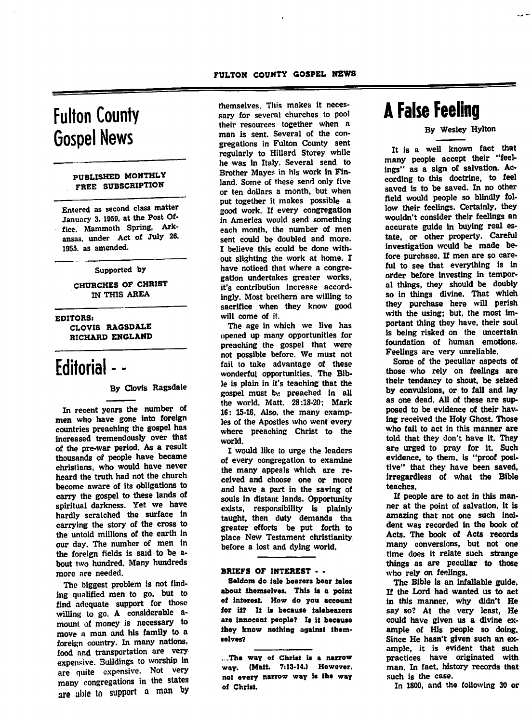### Fulton County Gospel News

#### PUBLISHED MONTHLY FREE SUBSCRIPTION

Entered as second class matter January 3. 1959, at the Post Of fice. Mammoth Spring, Ark ansas, under Act of July 26, 1955. as amended.

#### Supported by

CHURCHES OF CHRIST IN THIS AREA

EDITORS: CLOVIS RAGSDALE RICHARD ENGLAND

### Editorial - -

#### By Clovis Ragsdale

In recent years the number of men who have gone into foreign countries preaching the gospel has increased tremendously over that of the pre-war period. As a result thousands of people have became christians, who would have never heard the truth had not the church become aware of its obligations to carry the gospel to these lands of spiritual darkness. Yet we have hardly scratched the surface in carrying the story of the cross to the untold millions of the earth in our day. The number of men in the foreign fields is said to be about two hundred. Many hundreds more are needed.

The biggest problem is not find ing qualified men to go, but to find adequate support for those willing to go. A considerable amount of money is necessary to move a man and his family to a foreign country. In many nations, food and transportation are very expensive. Buildings to worship in are quite expensive. Not very<br>many congregations in the states many congregations in the states are able to support a man by

themselves. This makes it neces sary for several churches to pool their resources together when a man is sent. Several of the con gregations in Fulton County sent regularly to HiUard Storey while he was in Italy. Several send to Brother Mayes in his work in Fin land. Some of these send only five or ten dollars a month, but when put together it makes possible a good work. If every congregation in America would send something each month, the number of men sent could be doubled and more. I believe this could be done with out slighting the work at home. I have noticed that where a congre gation undertakes greater works, it's contribution increase accord ingly. Most brethern are willing to sacrifice when they know good will come of it.

The age in which we live has opened up many opportunities for preaching the gospel that were not possible before. We must not fail to take advantage of these wonderful opportunities. The Bib le is plain in it's teaching that the gospel must be preached in all the world. Matt. 28:18-20; Mark 16: 15-16. Also, the many examp les of the Apostles who went every where preaching Christ to the world.

I would like to urge the leaders of every congregation to examine the many appeals which are re ceived and choose one or more and have a part in the saving of souls in distant lands. Opportunity exists, responsibility is plainly taught, then duty demands tha greater efforts be put forth to place New Testament christianity before a lost and dying world.

#### BRIEFS OF INTEREST - •

Seldom do tale bearers bear tales about themselves. This is a point of interest. How do you account for it? It is because talebearers are Innocent people? Is it because they know nothing against them selves?

....The way of Christ is a narrow way. (Maii. 7:13-14.) However. not every narrow way is the way of Christ.

### A False Feeling

By Wesley Hylton

It is a well known fact that many people accept their "feel ings" as a sign of salvation. Ac cording to this doctrine, to feel saved is to be saved. In no other field would people so blindly fol low their feelings. Certainly, they wouldn't consider their feelings an accurate guide in buying real es tate, or other property. Careful investigation would be made be fore purchase. If men are so care ful to see that everything is in order before investing in tempor al things, they should be doubly so in things divine. That which they purchase here will perish with the using; but. the most im portant thing they have, their soul is being risked on the uncertain foundation of human emotions.<br>Feelings are very unreliable.

Some of the peculiar aspects of those who rely on feelings are their tendancy to shout, be seized by convulsions, or to fall and lay as one dead. All of these are sup posed to be evidence of their hav ing received the Holy Ghost. Those who fail to act in this manner are told that they don't have it. They are urged to pray for it. Such evidence, to them, is "proof posi tive" that they have been saved, irregardless of what the Bible teaches.

If people are to act in this man ner at the point of salvation, it is amazing that not one such inci dent was recorded in the book of Acts. The book of Acts records many conversions, but not one time does it relate such strange things as are peculiar to those who rely on feelings.

The Bible is an infallable guide. If the Lord had wanted us to act in this manner, why didn't He say so? At the very least, He could have given us a divine ex ample of His people so doing. Since He hasn't given such an ex ample, it is evident that such practices have originated with man. In fact, history records that such is the case.

In 1800, and tho following 30 or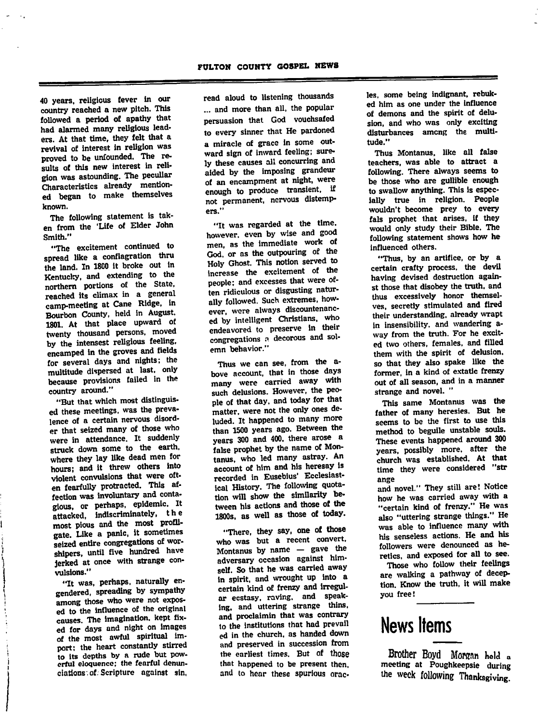40 years, religious fever in our country reached a new pitch. This followed a period of apathy that had alarmed many religious lead ers. At that time, they felt that a revival of interest in religion was proved to be unfounded. The re sults of this new interest in reli gion was astounding. The peculiar Characteristics already mention ed began to make themselves known.

The following statement is tak en from the 'Life of Elder John Smith."

"The excitement continued to spread like a conflagration thru the land. In 1800 it broke out in Kentucky, and extending to the northern portions of the State, reached its climax in a general<br>camp-meeting at Cane Ridge, in camp-meeting at Cane Ridge, in Bourbon County, held in August. 1801. At that place upward of twenty thousand persons, moved<br>by the intensest religious feeling, by the intensest religious recurse encamped in the groves and fields for several days and nights; the multitude dispersed at last, only because provisions failed in the country around."

"But that which most distinguised these meetings, was the preva lence of a certain nervous disord er that seized many of those who were in attendance. It suddenly struck down some to the earth, where they lay like dead men for hours; and it threw others into violent convulsions that were oft en fearfully protracted. This af fection was involuntary and conta gious, or perhaps, epidemic. -attacked, indiscriminately, the most pious and the most profli-<br>gate. Like a panic, it sometimes gate. Like a paint, it sometimes seized entire congregations of wor shipers, until five hundred have jerked at once with strange con vulsions."

"It was, perhaps, naturally engendered, spreading by sympathy gendered, spreading by sympathy among those who were not expos ed to the influence of the original causes. The imagination, kept fix ed for days and night on images of the most awful spiritual im port; the heart constantly stirred<br>to its depths by a rude but powerful eloquence; the fearful denunciations, of. Scripture against sin,

read aloud to listening thousands ... and more than all, the popular persuasion that God vouchsafed to every sinner that He pardoned a miracle of grace in some out ward sign of Inward feeling; sure ly these causes all concurring and aided by the imposing grandeur of an encampment at night, were enough to produce transient, if not permanent, nervous distemp ers."

"It was regarded at the time, however, even by wise and good men, as the immediate work of God, or as the outpouring of the Holy Ghost. This notion served to increase the excitement of the<br>people: and excesses that were ofpeople: and excesses that were of ten ridiculous or disgusting natur ally followed. Such extremes, how ever, were always discountenanc ed by intelligent Christians, who endeavored to preserve in their congregations a decorous and solemn behavior."

Thus we can see, from the above account, that in those days many were carried away with such delusions. However, the peo-<br>ple of that day, and today for that ple of that day, and today for the matter, were not the only ones de luded. It happened to many more than 1500 years ago. Between the years 300 and 400, there arose a false prophet by the name of Montanus, who led many astray. An account of him and his heresay is recorded in Eusebius' Ecclesiast ical History. The following quota tion will show the similarity be tween his actions and those of the 1800s, as well as those of today.

"There, they say, one of those who was but a recent convert. Montanus by name — gave the adversary occasion against him self. So that he was carried away in spirit, and wrought up into a certain kind of frenzy and irregul ar ecstasy, raving, and speak ing, and uttering strange thins, and proclaimin that was contrary to the institutions that had prevail ed in the church, as handed down and preserved in succession from the earliest times. But of those that happened to be present then, and to hear these spurious orac les, some being indignant, rebuk ed him as one under the Influence of demons and the spirit of delu sion, and who was only exciting disturbances among the multi tude."

Thus Montanus, like all false teachers, was able to attract a following. There always seems to be those who are gullible enough to swallow anything. This is espec ially true in religion. People wouldn't become prey to every fals prophet that arises, if they would only study their Bible. The following statement shows how he influenced others.

"Thus, by an artifice, or by a certain crafty process, the devil having devised destruction again st those that disobey the truth, and thus excessively honor themsel ves, secretly stimulated and fired their understanding, already wrapt in insensibility, and wandering away from the truth. For he excit ed two others, females, and filled them with the spirit of delusion, so that they also spake like the former, in a kind of extatic frenzy out of all season, and in a manner strange and novel. "

This same Montanus was the father of many heresies. But he seems to be the first to use this method to beguile unstable souls. These events happened around 300 years, possibly more, after the church was established. At that time they were considered "str ange

and novel." They still are! Notice how he was carried away with a "certain kind of frenzy." He was also "uttering strange things." He was able to influence many with his senseless actions. He and his followers were denounced as he retics, and exposed for all to see.

Those who follow their feelings are walking a pathway of decep tion. Know the truth, it will make you free!

### News Items

Brother Boyd Morgan held a meeting at Poughkeepsie during the week following Thanksgiving.